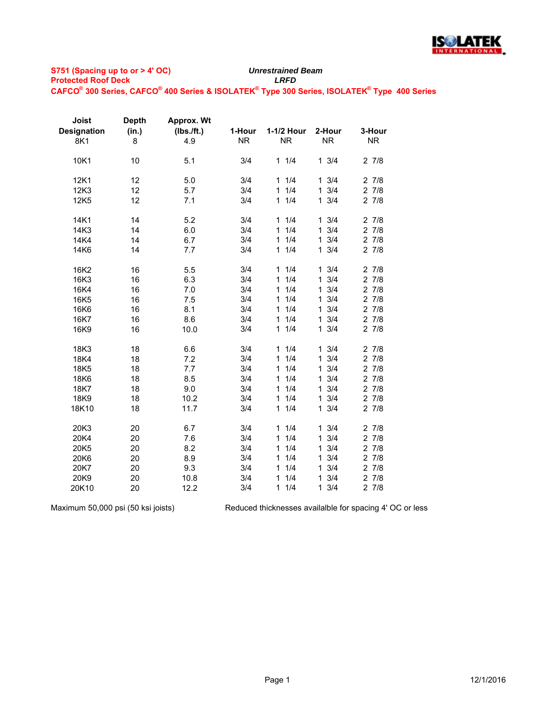

| Joist              | <b>Depth</b> | Approx. Wt |           |                     |                     |           |
|--------------------|--------------|------------|-----------|---------------------|---------------------|-----------|
| <b>Designation</b> | (in.)        | (Ibs./ft.) | 1-Hour    | 1-1/2 Hour          | 2-Hour              | 3-Hour    |
| 8K1                | 8            | 4.9        | <b>NR</b> | <b>NR</b>           | <b>NR</b>           | <b>NR</b> |
|                    |              |            |           |                     |                     |           |
| 10K1               | 10           | 5.1        | 3/4       | 11/4                | $1 \t3/4$           | 27/8      |
| 12K1               | 12           | 5.0        | 3/4       | 11/4                | $1 \frac{3}{4}$     | 27/8      |
| 12K3               | 12           | 5.7        | 3/4       | 1/4<br>$\mathbf{1}$ | $1 \frac{3}{4}$     | 27/8      |
| 12K5               | 12           | 7.1        | 3/4       | 1/4<br>$\mathbf{1}$ | $1 \frac{3}{4}$     | 27/8      |
|                    |              |            |           |                     |                     |           |
| 14K1               | 14           | 5.2        | 3/4       | 11/4                | $1 \frac{3}{4}$     | 27/8      |
| 14K3               | 14           | 6.0        | 3/4       | 1/4<br>$\mathbf{1}$ | 3/4<br>$\mathbf{1}$ | 27/8      |
| 14K4               | 14           | 6.7        | 3/4       | 1/4<br>$\mathbf{1}$ | 3/4<br>$\mathbf{1}$ | 27/8      |
| 14K6               | 14           | 7.7        | 3/4       | 1/4<br>$\mathbf{1}$ | $1 \frac{3}{4}$     | 27/8      |
|                    |              |            |           |                     |                     |           |
| 16K2               | 16           | 5.5        | 3/4       | 11/4                | $1 \frac{3}{4}$     | 27/8      |
| 16K3               | 16           | 6.3        | 3/4       | 1/4<br>$\mathbf{1}$ | 3/4<br>$\mathbf{1}$ | 27/8      |
| 16K4               | 16           | 7.0        | 3/4       | 1/4<br>$\mathbf{1}$ | 3/4<br>$\mathbf{1}$ | 27/8      |
| 16K5               | 16           | 7.5        | 3/4       | 1/4<br>$\mathbf{1}$ | 3/4<br>$\mathbf{1}$ | 27/8      |
| 16K6               | 16           | 8.1        | 3/4       | 1/4<br>$\mathbf{1}$ | 3/4<br>$\mathbf{1}$ | 27/8      |
| 16K7               | 16           | 8.6        | 3/4       | 1/4<br>1            | 3/4<br>$\mathbf{1}$ | 27/8      |
| 16K9               | 16           | 10.0       | 3/4       | 1/4<br>1            | $1 \frac{3}{4}$     | 27/8      |
|                    |              |            |           |                     |                     |           |
| 18K3               | 18           | 6.6        | 3/4       | 11/4                | 3/4<br>$\mathbf{1}$ | 27/8      |
| 18K4               | 18           | 7.2        | 3/4       | 1/4<br>$\mathbf{1}$ | 3/4<br>$\mathbf{1}$ | 27/8      |
| 18K5               | 18           | 7.7        | 3/4       | 1/4<br>$\mathbf{1}$ | 3/4<br>$\mathbf{1}$ | 27/8      |
| 18K6               | 18           | 8.5        | 3/4       | 1/4<br>$\mathbf{1}$ | 3/4<br>$\mathbf{1}$ | 27/8      |
| 18K7               | 18           | 9.0        | 3/4       | 1/4<br>$\mathbf{1}$ | 3/4<br>$\mathbf{1}$ | 27/8      |
| 18K9               | 18           | 10.2       | 3/4       | 1/4<br>$\mathbf{1}$ | $1 \t3/4$           | 27/8      |
| 18K10              | 18           | 11.7       | 3/4       | 1/4<br>$\mathbf{1}$ | $1 \t3/4$           | 27/8      |
|                    |              |            |           |                     |                     |           |
| 20K3               | 20           | 6.7        | 3/4       | 11/4                | $1 \frac{3}{4}$     | 27/8      |
| 20K4               | 20           | 7.6        | 3/4       | 1/4<br>$\mathbf{1}$ | 3/4<br>$\mathbf{1}$ | 27/8      |
| 20K5               | 20           | 8.2        | 3/4       | 1/4<br>$\mathbf{1}$ | 3/4<br>$\mathbf 1$  | 27/8      |
| 20K6               | 20           | 8.9        | 3/4       | 1/4<br>$\mathbf{1}$ | 3/4<br>$\mathbf{1}$ | 27/8      |
| 20K7               | 20           | 9.3        | 3/4       | 1/4<br>1.           | 3/4<br>$\mathbf{1}$ | $2 \t7/8$ |
| 20K9               | 20           | 10.8       | 3/4       | 1/4<br>1            | 3/4<br>$\mathbf{1}$ | 27/8      |
| 20K10              | 20           | 12.2       | 3/4       | 1/4<br>$\mathbf{1}$ | $1 \frac{3}{4}$     | 27/8      |

Maximum 50,000 psi (50 ksi joists)

Reduced thicknesses availalble for spacing 4' OC or less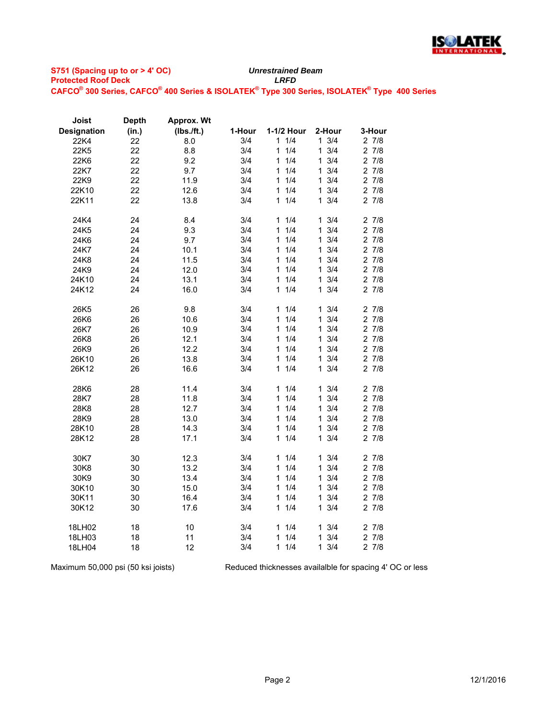

| Joist              | <b>Depth</b> | Approx. Wt |        |                     |                     |        |
|--------------------|--------------|------------|--------|---------------------|---------------------|--------|
| <b>Designation</b> | (in.)        | (Ibs./ft.) | 1-Hour | 1-1/2 Hour          | 2-Hour              | 3-Hour |
| 22K4               | 22           | 8.0        | 3/4    | 1/4<br>1.           | $1 \frac{3}{4}$     | 27/8   |
| 22K5               | 22           | 8.8        | 3/4    | 1/4<br>1            | 3/4<br>1            | 27/8   |
| 22K6               | 22           | 9.2        | 3/4    | 1/4<br>1            | $1 \frac{3}{4}$     | 27/8   |
| 22K7               | 22           | 9.7        | 3/4    | 1/4<br>1            | 3/4<br>1.           | 27/8   |
| 22K9               | 22           | 11.9       | 3/4    | 1/4<br>1            | 3/4<br>1.           | 27/8   |
| 22K10              | 22           | 12.6       | 3/4    | 1/4<br>1            | $1 \frac{3}{4}$     | 27/8   |
| 22K11              | 22           | 13.8       | 3/4    | 1/4<br>1            | $1 \t3/4$           | 27/8   |
|                    |              |            |        |                     |                     |        |
| 24K4               | 24           | 8.4        | 3/4    | 1/4<br>1            | $1 \frac{3}{4}$     | 27/8   |
| 24K5               | 24           | 9.3        | 3/4    | 1/4<br>1            | 3/4<br>$\mathbf{1}$ | 27/8   |
| 24K6               | 24           | 9.7        | 3/4    | 1/4<br>1            | 3/4<br>1.           | 27/8   |
| 24K7               | 24           | 10.1       | 3/4    | 1<br>1/4            | $1 \frac{3}{4}$     | 27/8   |
| 24K8               | 24           | 11.5       | 3/4    | 1/4<br>1            | 3/4<br>1.           | 27/8   |
| 24K9               | 24           | 12.0       | 3/4    | 1/4<br>1            | 3/4<br>1.           | 27/8   |
| 24K10              | 24           | 13.1       | 3/4    | 1<br>1/4            | $1 \frac{3}{4}$     | 27/8   |
| 24K12              | 24           | 16.0       | 3/4    | 1/4<br>1            | 3/4<br>1.           | 27/8   |
| 26K <sub>5</sub>   | 26           | 9.8        | 3/4    | 1/4<br>1            | $1 \frac{3}{4}$     | 27/8   |
| 26K6               | 26           | 10.6       | 3/4    | 1/4<br>1            | 3/4<br>$\mathbf{1}$ | 27/8   |
| 26K7               | 26           | 10.9       | 3/4    | 1/4<br>1            | 3/4<br>$\mathbf{1}$ | 27/8   |
| 26K8               | 26           | 12.1       | 3/4    | 1/4<br>1            | $1 \frac{3}{4}$     | 27/8   |
| 26K9               | 26           | 12.2       | 3/4    | 1/4<br>1            | 3/4<br>1.           | 27/8   |
| 26K10              | 26           | 13.8       | 3/4    | 1/4<br>1            | 3/4<br>$\mathbf{1}$ | 27/8   |
| 26K12              | 26           | 16.6       | 3/4    | 1/4<br>1            | $1 \frac{3}{4}$     | 27/8   |
|                    |              |            |        |                     |                     |        |
| 28K6               | 28           | 11.4       | 3/4    | 1/4<br>1            | 3/4<br>1            | 27/8   |
| 28K7               | 28           | 11.8       | 3/4    | 1/4<br>1            | $1 \frac{3}{4}$     | 27/8   |
| 28K8               | 28           | 12.7       | 3/4    | 1/4<br>1            | 3/4<br>1.           | 27/8   |
| 28K9               | 28           | 13.0       | 3/4    | 1/4<br>1            | 3/4<br>1            | 27/8   |
| 28K10              | 28           | 14.3       | 3/4    | 1/4<br>1            | 3/4<br>$\mathbf{1}$ | 27/8   |
| 28K12              | 28           | 17.1       | 3/4    | 1/4<br>1            | $1 \frac{3}{4}$     | 27/8   |
| 30K7               | 30           | 12.3       | 3/4    | 1/4<br>$\mathbf{1}$ | $1 \frac{3}{4}$     | 27/8   |
| 30K8               | 30           | 13.2       | 3/4    | 1/4<br>1            | 3/4<br>1.           | 27/8   |
| 30K9               | 30           | 13.4       | 3/4    | 1/4<br>1            | 3/4<br>1.           | 27/8   |
| 30K10              | 30           | 15.0       | 3/4    | 1/4<br>1            | 3/4<br>$\mathbf{1}$ | 27/8   |
| 30K11              | 30           | 16.4       | 3/4    | 1/4<br>1            | $1 \t3/4$           | 27/8   |
| 30K12              | 30           | 17.6       | 3/4    | 1/4<br>1            | 3/4<br>1.           | 27/8   |
| 18LH02             | 18           | 10         | 3/4    | 1/4<br>1            | $1 \frac{3}{4}$     | 27/8   |
| 18LH03             | 18           | 11         | 3/4    | 1/4<br>1            | 3/4<br>1.           | 27/8   |
| 18LH04             | 18           | 12         | 3/4    | 1/4<br>1            | $1 \t3/4$           | 27/8   |
|                    |              |            |        |                     |                     |        |

Maximum 50,000 psi (50 ksi joists) Reduced thicknesses availalble for spacing 4' OC or less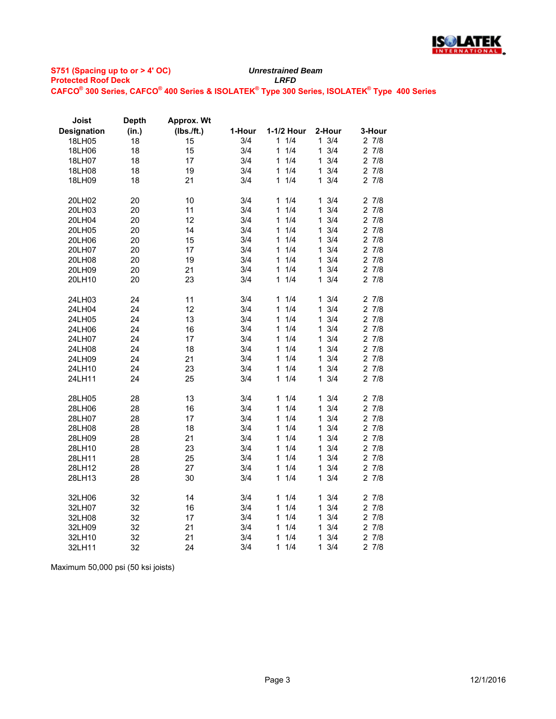

## **S751 (Spacing up to or > 4' OC) Protected Roof Deck** *LRFD* **CAFCO® 300 Series, CAFCO® 400 Series & ISOLATEK® Type 300 Series, ISOLATEK® Type 400 Series** *Unrestrained Beam*

| (Ibs./ft.)<br>1-1/2 Hour<br><b>Designation</b><br>(in.)<br>1-Hour<br>2-Hour<br>3/4<br>1<br>1/4<br>$1 \frac{3}{4}$<br>27/8<br>18<br>18LH05<br>15<br>18<br>15<br>3/4<br>1/4<br>3/4<br>27/8<br>18LH06<br>1<br>1<br>1/4<br>3/4<br>27/8<br>18<br>17<br>3/4<br>1<br>1<br>18LH07<br>3/4<br>1/4<br>3/4<br>27/8<br>18LH08<br>18<br>19<br>1<br>1<br>1/4<br>3/4<br>18LH09<br>18<br>21<br>3/4<br>1<br>1<br>27/8<br>20LH02<br>10<br>3/4<br>1/4<br>3/4<br>27/8<br>20<br>1<br>$\mathbf{1}$<br>1/4<br>3/4<br>27/8<br>3/4<br>1<br>$\mathbf{1}$<br>20LH03<br>20<br>11<br>1/4<br>3/4<br>27/8<br>3/4<br>20<br>12<br>1<br>1<br>20LH04<br>1/4<br>3/4<br>27/8<br>20<br>14<br>3/4<br>1<br>1<br>20LH05<br>20<br>3/4<br>1/4<br>3/4<br>27/8<br>20LH06<br>15<br>1<br>$\mathbf 1$<br>20<br>3/4<br>1/4<br>3/4<br>27/8<br>20LH07<br>17<br>1<br>$\mathbf{1}$<br>1/4<br>3/4<br>27/8<br>20<br>19<br>3/4<br>20LH08<br>1<br>$\mathbf 1$<br>20<br>21<br>3/4<br>1/4<br>3/4<br>27/8<br>20LH09<br>1<br>1<br>23<br>3/4<br>1/4<br>$\mathbf{1}$<br>3/4<br>27/8<br>20LH10<br>20<br>1 | Joist | <b>Depth</b> | <b>Approx. Wt</b> |  |        |
|------------------------------------------------------------------------------------------------------------------------------------------------------------------------------------------------------------------------------------------------------------------------------------------------------------------------------------------------------------------------------------------------------------------------------------------------------------------------------------------------------------------------------------------------------------------------------------------------------------------------------------------------------------------------------------------------------------------------------------------------------------------------------------------------------------------------------------------------------------------------------------------------------------------------------------------------------------------------------------------------------------------------------------------|-------|--------------|-------------------|--|--------|
|                                                                                                                                                                                                                                                                                                                                                                                                                                                                                                                                                                                                                                                                                                                                                                                                                                                                                                                                                                                                                                          |       |              |                   |  | 3-Hour |
|                                                                                                                                                                                                                                                                                                                                                                                                                                                                                                                                                                                                                                                                                                                                                                                                                                                                                                                                                                                                                                          |       |              |                   |  |        |
|                                                                                                                                                                                                                                                                                                                                                                                                                                                                                                                                                                                                                                                                                                                                                                                                                                                                                                                                                                                                                                          |       |              |                   |  |        |
|                                                                                                                                                                                                                                                                                                                                                                                                                                                                                                                                                                                                                                                                                                                                                                                                                                                                                                                                                                                                                                          |       |              |                   |  |        |
|                                                                                                                                                                                                                                                                                                                                                                                                                                                                                                                                                                                                                                                                                                                                                                                                                                                                                                                                                                                                                                          |       |              |                   |  |        |
|                                                                                                                                                                                                                                                                                                                                                                                                                                                                                                                                                                                                                                                                                                                                                                                                                                                                                                                                                                                                                                          |       |              |                   |  |        |
|                                                                                                                                                                                                                                                                                                                                                                                                                                                                                                                                                                                                                                                                                                                                                                                                                                                                                                                                                                                                                                          |       |              |                   |  |        |
|                                                                                                                                                                                                                                                                                                                                                                                                                                                                                                                                                                                                                                                                                                                                                                                                                                                                                                                                                                                                                                          |       |              |                   |  |        |
|                                                                                                                                                                                                                                                                                                                                                                                                                                                                                                                                                                                                                                                                                                                                                                                                                                                                                                                                                                                                                                          |       |              |                   |  |        |
|                                                                                                                                                                                                                                                                                                                                                                                                                                                                                                                                                                                                                                                                                                                                                                                                                                                                                                                                                                                                                                          |       |              |                   |  |        |
|                                                                                                                                                                                                                                                                                                                                                                                                                                                                                                                                                                                                                                                                                                                                                                                                                                                                                                                                                                                                                                          |       |              |                   |  |        |
|                                                                                                                                                                                                                                                                                                                                                                                                                                                                                                                                                                                                                                                                                                                                                                                                                                                                                                                                                                                                                                          |       |              |                   |  |        |
|                                                                                                                                                                                                                                                                                                                                                                                                                                                                                                                                                                                                                                                                                                                                                                                                                                                                                                                                                                                                                                          |       |              |                   |  |        |
|                                                                                                                                                                                                                                                                                                                                                                                                                                                                                                                                                                                                                                                                                                                                                                                                                                                                                                                                                                                                                                          |       |              |                   |  |        |
|                                                                                                                                                                                                                                                                                                                                                                                                                                                                                                                                                                                                                                                                                                                                                                                                                                                                                                                                                                                                                                          |       |              |                   |  |        |
|                                                                                                                                                                                                                                                                                                                                                                                                                                                                                                                                                                                                                                                                                                                                                                                                                                                                                                                                                                                                                                          |       |              |                   |  |        |
| 3/4<br>1/4<br>3/4<br>27/8<br>24<br>11<br>1<br>1.<br>24LH03                                                                                                                                                                                                                                                                                                                                                                                                                                                                                                                                                                                                                                                                                                                                                                                                                                                                                                                                                                               |       |              |                   |  |        |
| 3/4<br>27/8<br>3/4<br>1/4<br>24LH04<br>24<br>12<br>1<br>$\mathbf 1$                                                                                                                                                                                                                                                                                                                                                                                                                                                                                                                                                                                                                                                                                                                                                                                                                                                                                                                                                                      |       |              |                   |  |        |
| 3/4<br>24<br>13<br>3/4<br>1/4<br>27/8<br>1<br>1                                                                                                                                                                                                                                                                                                                                                                                                                                                                                                                                                                                                                                                                                                                                                                                                                                                                                                                                                                                          |       |              |                   |  |        |
| 24LH05<br>1/4<br>3/4<br>27/8<br>24LH06<br>24<br>16<br>3/4                                                                                                                                                                                                                                                                                                                                                                                                                                                                                                                                                                                                                                                                                                                                                                                                                                                                                                                                                                                |       |              |                   |  |        |
| 1<br>1<br>3/4<br>24<br>17<br>3/4<br>1/4<br>27/8<br>1<br>$\mathbf 1$                                                                                                                                                                                                                                                                                                                                                                                                                                                                                                                                                                                                                                                                                                                                                                                                                                                                                                                                                                      |       |              |                   |  |        |
| 24LH07<br>3/4<br>24<br>18<br>3/4<br>1<br>1/4<br>$\mathbf{1}$<br>27/8<br>24LH08                                                                                                                                                                                                                                                                                                                                                                                                                                                                                                                                                                                                                                                                                                                                                                                                                                                                                                                                                           |       |              |                   |  |        |
| 24<br>21<br>3/4<br>1/4<br>3/4<br>27/8<br>24LH09<br>1<br>1                                                                                                                                                                                                                                                                                                                                                                                                                                                                                                                                                                                                                                                                                                                                                                                                                                                                                                                                                                                |       |              |                   |  |        |
| 23<br>3/4<br>24LH10<br>24<br>3/4<br>1/4<br>1<br>27/8<br>1                                                                                                                                                                                                                                                                                                                                                                                                                                                                                                                                                                                                                                                                                                                                                                                                                                                                                                                                                                                |       |              |                   |  |        |
| 1/4<br>3/4<br>3/4<br>27/8<br>24<br>25<br>1<br>$\mathbf 1$                                                                                                                                                                                                                                                                                                                                                                                                                                                                                                                                                                                                                                                                                                                                                                                                                                                                                                                                                                                |       |              |                   |  |        |
| 24LH11                                                                                                                                                                                                                                                                                                                                                                                                                                                                                                                                                                                                                                                                                                                                                                                                                                                                                                                                                                                                                                   |       |              |                   |  |        |
| 3/4<br>1/4<br>$1 \frac{3}{4}$<br>27/8<br>28LH05<br>28<br>13<br>1                                                                                                                                                                                                                                                                                                                                                                                                                                                                                                                                                                                                                                                                                                                                                                                                                                                                                                                                                                         |       |              |                   |  |        |
| 3/4<br>1/4<br>3/4<br>28<br>16<br>1<br>27/8<br>28LH06<br>1                                                                                                                                                                                                                                                                                                                                                                                                                                                                                                                                                                                                                                                                                                                                                                                                                                                                                                                                                                                |       |              |                   |  |        |
| 3/4<br>1/4<br>3/4<br>28<br>17<br>1<br>$\mathbf{1}$<br>27/8<br>28LH07                                                                                                                                                                                                                                                                                                                                                                                                                                                                                                                                                                                                                                                                                                                                                                                                                                                                                                                                                                     |       |              |                   |  |        |
| 1/4<br>3/4<br>28<br>18<br>3/4<br>27/8<br>28LH08<br>1<br>1                                                                                                                                                                                                                                                                                                                                                                                                                                                                                                                                                                                                                                                                                                                                                                                                                                                                                                                                                                                |       |              |                   |  |        |
| 21<br>1/4<br>3/4<br>27/8<br>28LH09<br>28<br>3/4<br>$\mathbf 1$<br>1                                                                                                                                                                                                                                                                                                                                                                                                                                                                                                                                                                                                                                                                                                                                                                                                                                                                                                                                                                      |       |              |                   |  |        |
| 23<br>1/4<br>3/4<br>27/8<br>28LH10<br>28<br>3/4<br>1<br>1                                                                                                                                                                                                                                                                                                                                                                                                                                                                                                                                                                                                                                                                                                                                                                                                                                                                                                                                                                                |       |              |                   |  |        |
| 1/4<br>3/4<br>27/8<br>25<br>3/4<br>$\mathbf{1}$<br>28LH11<br>28<br>1                                                                                                                                                                                                                                                                                                                                                                                                                                                                                                                                                                                                                                                                                                                                                                                                                                                                                                                                                                     |       |              |                   |  |        |
| 3/4<br>27<br>3/4<br>1<br>1/4<br>1<br>27/8<br>28LH12<br>28                                                                                                                                                                                                                                                                                                                                                                                                                                                                                                                                                                                                                                                                                                                                                                                                                                                                                                                                                                                |       |              |                   |  |        |
| 1/4<br>3/4<br>27/8<br>28<br>3/4<br>1<br>1<br>28LH13<br>30                                                                                                                                                                                                                                                                                                                                                                                                                                                                                                                                                                                                                                                                                                                                                                                                                                                                                                                                                                                |       |              |                   |  |        |
| 32LH06<br>32<br>14<br>3/4<br>11/4<br>$1 \frac{3}{4}$<br>27/8                                                                                                                                                                                                                                                                                                                                                                                                                                                                                                                                                                                                                                                                                                                                                                                                                                                                                                                                                                             |       |              |                   |  |        |
| 32<br>3/4<br>1/4<br>3/4<br>27/8<br>32LH07<br>16<br>1<br>$\mathbf 1$                                                                                                                                                                                                                                                                                                                                                                                                                                                                                                                                                                                                                                                                                                                                                                                                                                                                                                                                                                      |       |              |                   |  |        |
| 32<br>17<br>3/4<br>1/4<br>3/4<br>27/8<br>32LH08<br>1<br>1                                                                                                                                                                                                                                                                                                                                                                                                                                                                                                                                                                                                                                                                                                                                                                                                                                                                                                                                                                                |       |              |                   |  |        |
| 32<br>21<br>3/4<br>1/4<br>3/4<br>27/8<br>1<br>1<br>32LH09                                                                                                                                                                                                                                                                                                                                                                                                                                                                                                                                                                                                                                                                                                                                                                                                                                                                                                                                                                                |       |              |                   |  |        |
| 32<br>21<br>1/4<br>3/4<br>27/8<br>32LH10<br>3/4<br>1<br>1                                                                                                                                                                                                                                                                                                                                                                                                                                                                                                                                                                                                                                                                                                                                                                                                                                                                                                                                                                                |       |              |                   |  |        |
| 3/4<br>1/4<br>3/4<br>27/8<br>32LH11<br>32<br>24<br>1<br>1                                                                                                                                                                                                                                                                                                                                                                                                                                                                                                                                                                                                                                                                                                                                                                                                                                                                                                                                                                                |       |              |                   |  |        |

Maximum 50,000 psi (50 ksi joists)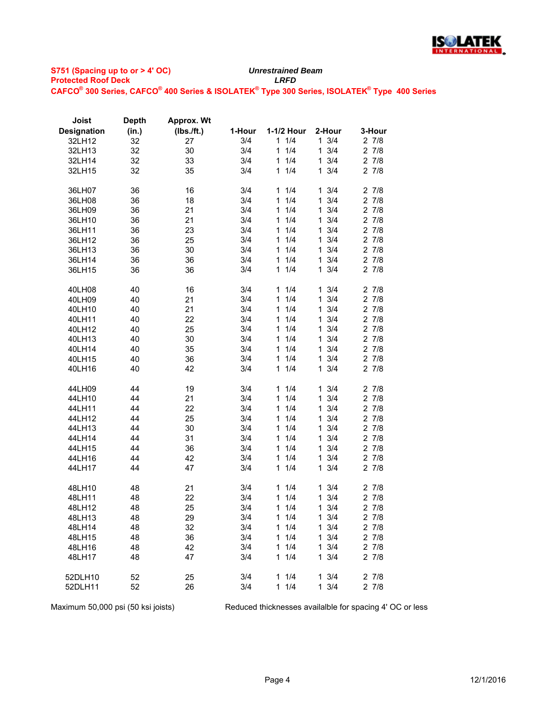

## **S751 (Spacing up to or > 4' OC) Protected Roof Deck** *LRFD* **CAFCO® 300 Series, CAFCO® 400 Series & ISOLATEK® Type 300 Series, ISOLATEK® Type 400 Series** *Unrestrained Beam*

| Joist              | <b>Depth</b> | Approx. Wt |        |                     |                     |           |
|--------------------|--------------|------------|--------|---------------------|---------------------|-----------|
| <b>Designation</b> | (in.)        | (Ibs./ft.) | 1-Hour | 1-1/2 Hour          | 2-Hour              | 3-Hour    |
| 32LH12             | 32           | 27         | 3/4    | 11/4                | $1 \frac{3}{4}$     | 27/8      |
| 32LH13             | 32           | 30         | 3/4    | 1/4<br>$\mathbf{1}$ | $1 \frac{3}{4}$     | 27/8      |
| 32LH14             | 32           | 33         | 3/4    | 1/4<br>1            | $1 \frac{3}{4}$     | 27/8      |
| 32LH15             | 32           | 35         | 3/4    | 1/4<br>$\mathbf{1}$ | $1 \frac{3}{4}$     | 27/8      |
|                    |              |            |        |                     |                     |           |
| 36LH07             | 36           | 16         | 3/4    | 11/4                | $1 \frac{3}{4}$     | 27/8      |
| 36LH08             | 36           | 18         | 3/4    | 1/4<br>1            | $\mathbf{1}$<br>3/4 | 27/8      |
| 36LH09             | 36           | 21         | 3/4    | 1/4<br>1            | $1 \frac{3}{4}$     | 27/8      |
| 36LH10             | 36           | 21         | 3/4    | 1/4<br>1.           | 3/4<br>$\mathbf{1}$ | 27/8      |
| 36LH11             | 36           | 23         | 3/4    | 1/4<br>1            | 3/4<br>$\mathbf{1}$ | 27/8      |
| 36LH12             | 36           | 25         | 3/4    | 1/4<br>1.           | $1 \frac{3}{4}$     | 27/8      |
| 36LH13             | 36           | 30         | 3/4    | 1/4<br>1.           | $1 \frac{3}{4}$     | 27/8      |
| 36LH14             | 36           | 36         | 3/4    | 1/4<br>1            | $1 \frac{3}{4}$     | 27/8      |
| 36LH15             | 36           | 36         | 3/4    | 1/4<br>1            | $1 \frac{3}{4}$     | 27/8      |
|                    |              |            |        |                     |                     |           |
| 40LH08             | 40           | 16         | 3/4    | 1/4<br>1.           | $1 \frac{3}{4}$     | 27/8      |
| 40LH09             | 40           | 21         | 3/4    | 1/4<br>1.           | $1 \frac{3}{4}$     | 27/8      |
| 40LH10             | 40           | 21         | 3/4    | 1/4<br>1            | 3/4<br>1            | 27/8      |
| 40LH11             | 40           | 22         | 3/4    | 1/4<br>1            | 3/4<br>$\mathbf{1}$ | 27/8      |
| 40LH12             | 40           | 25         | 3/4    | 1/4<br>1            | 3/4<br>$\mathbf{1}$ | 27/8      |
| 40LH13             | 40           | 30         | 3/4    | 1/4<br>1            | 3/4<br>$\mathbf{1}$ | $2 \t7/8$ |
| 40LH14             | 40           | 35         | 3/4    | 1/4<br>1.           | $1 \frac{3}{4}$     | 27/8      |
| 40LH15             | 40           | 36         | 3/4    | 1/4<br>1.           | $1 \frac{3}{4}$     | 27/8      |
| 40LH16             | 40           | 42         | 3/4    | 1/4<br>1            | $1 \frac{3}{4}$     | 27/8      |
|                    |              |            |        |                     |                     |           |
| 44LH09             | 44           | 19         | 3/4    | 1/4<br>1.           | $1 \frac{3}{4}$     | 27/8      |
| 44LH10             | 44           | 21         | 3/4    | 1/4<br>$\mathbf{1}$ | 3/4<br>$\mathbf{1}$ | 27/8      |
| 44LH11             | 44           | 22         | 3/4    | 1<br>1/4            | $1 \frac{3}{4}$     | 27/8      |
| 44LH12             | 44           | 25         | 3/4    | 1/4<br>1            | 3/4<br>$\mathbf{1}$ | 27/8      |
| 44LH13             | 44           | 30         | 3/4    | 1/4<br>1            | $\mathbf{1}$<br>3/4 | 27/8      |
| 44LH14             | 44           | 31         | 3/4    | 1/4<br>1            | 3/4<br>1            | 27/8      |
| 44LH15             | 44           | 36         | 3/4    | 1/4<br>1            | 3/4<br>1            | 27/8      |
| 44LH16             | 44           | 42         | 3/4    | 1/4<br>1            | $1 \frac{3}{4}$     | $2 \t7/8$ |
| 44LH17             | 44           | 47         | 3/4    | 1/4<br>1.           | $1 \frac{3}{4}$     | 27/8      |
|                    |              |            |        |                     |                     |           |
| 48LH10             | 48           | 21         | 3/4    | 1/4<br>1.           | $1 \frac{3}{4}$     | 27/8      |
| 48LH11             | 48           | 22         | 3/4    | 1/4<br>1.           | $1 \frac{3}{4}$     | 27/8      |
| 48LH12             | 48           | 25         | 3/4    | 1/4<br>$\mathbf{1}$ | $1 \frac{3}{4}$     | 27/8      |
| 48LH13             | 48           | 29         | 3/4    | $1 \t1/4$           | $1 \frac{3}{4}$     | $2 \t7/8$ |
| 48LH14             | 48           | 32         | 3/4    | 11/4                | $1 \frac{3}{4}$     | $2 \t7/8$ |
| 48LH15             | 48           | 36         | 3/4    | 11/4                | $1 \frac{3}{4}$     | 27/8      |
| 48LH16             | 48           | 42         | 3/4    | 11/4                | $1 \frac{3}{4}$     | $2 \t7/8$ |
| 48LH17             | 48           | 47         | 3/4    | 11/4                | $1 \frac{3}{4}$     | 27/8      |
|                    |              |            |        |                     |                     |           |
| 52DLH10            | 52           | 25         | 3/4    | 11/4                | $1 \frac{3}{4}$     | 27/8      |
| 52DLH11            | 52           | 26         | 3/4    | 11/4                | $1 \frac{3}{4}$     | 27/8      |
|                    |              |            |        |                     |                     |           |

Maximum 50,000 psi (50 ksi joists) Reduced thicknesses availalble for spacing 4' OC or less